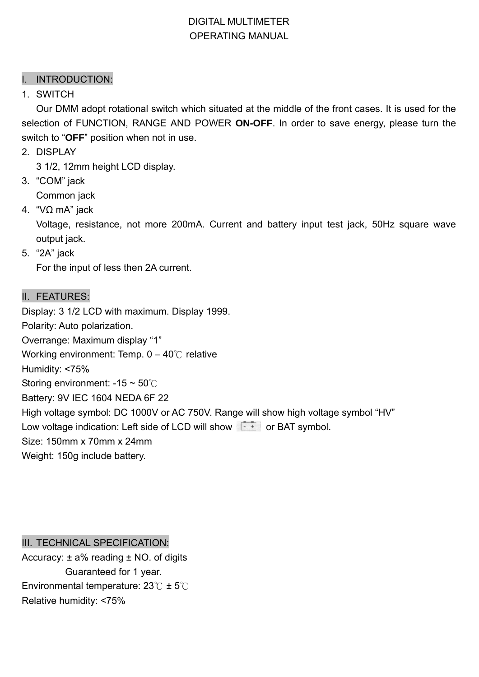## DIGITAL MULTIMETER OPERATING MANUAL

### I. INTRODUCTION:

1. SWITCH

 Our DMM adopt rotational switch which situated at the middle of the front cases. It is used for the selection of FUNCTION, RANGE AND POWER **ON-OFF**. In order to save energy, please turn the switch to "**OFF**" position when not in use.

2. DISPLAY

3 1/2, 12mm height LCD display.

3. "COM" jack

Common jack

4. "VΩ mA" jack

 Voltage, resistance, not more 200mA. Current and battery input test jack, 50Hz square wave output jack.

5. "2A" jack

For the input of less then 2A current.

#### II. FEATURES:

Display: 3 1/2 LCD with maximum. Display 1999. Polarity: Auto polarization. Overrange: Maximum display "1" Working environment: Temp. 0 – 40℃ relative Humidity: <75% Storing environment: -15 ~ 50℃ Battery: 9V IEC 1604 NEDA 6F 22 High voltage symbol: DC 1000V or AC 750V. Range will show high voltage symbol "HV" Low voltage indication: Left side of LCD will show  $\sqrt{1 + \frac{1}{x}}$  or BAT symbol. Size: 150mm x 70mm x 24mm Weight: 150g include battery.

III. TECHNICAL SPECIFICATION:

Accuracy:  $\pm$  a% reading  $\pm$  NO. of digits Guaranteed for 1 year. Environmental temperature: 23℃ ± 5℃ Relative humidity: <75%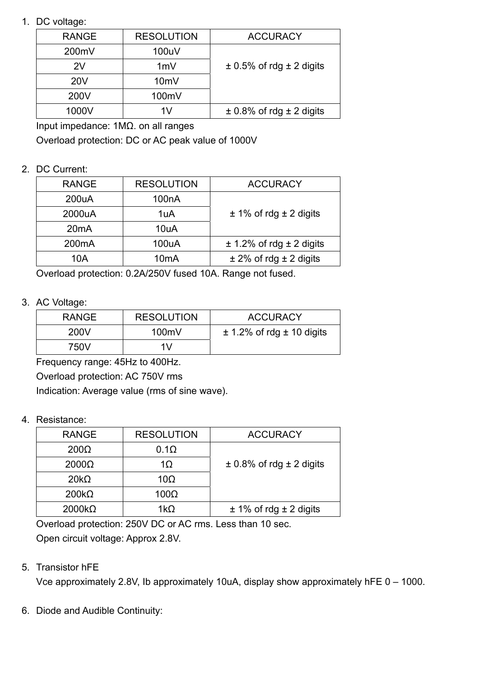1. DC voltage:

| <b>RANGE</b> | <b>RESOLUTION</b> | <b>ACCURACY</b>                  |
|--------------|-------------------|----------------------------------|
| 200mV        | 100uV             |                                  |
| 2V           | 1mV               | $\pm$ 0.5% of rdg $\pm$ 2 digits |
| <b>20V</b>   | 10mV              |                                  |
| 200V         | 100mV             |                                  |
| 1000V        | 1 V               | $\pm$ 0.8% of rdg $\pm$ 2 digits |

Input impedance: 1MΩ. on all ranges

Overload protection: DC or AC peak value of 1000V

#### 2. DC Current:

| <b>RANGE</b>                | <b>RESOLUTION</b>  | <b>ACCURACY</b>                  |
|-----------------------------|--------------------|----------------------------------|
| 200uA                       | 100 <sub>n</sub> A |                                  |
| 2000uA                      | 1uA                | $\pm$ 1% of rdg $\pm$ 2 digits   |
| 20 <sub>m</sub> A           | 10uA               |                                  |
| 200 <sub>m</sub> A<br>100uA |                    | $\pm$ 1.2% of rdg $\pm$ 2 digits |
| 10A                         | 10 <sub>m</sub> A  | $\pm$ 2% of rdg $\pm$ 2 digits   |

Overload protection: 0.2A/250V fused 10A. Range not fused.

## 3. AC Voltage:

| <b>RESOLUTION</b> | <b>ACCURACY</b>                   |
|-------------------|-----------------------------------|
| 100mV             | $\pm$ 1.2% of rdg $\pm$ 10 digits |
| 1V                |                                   |
|                   |                                   |

Frequency range: 45Hz to 400Hz.

Overload protection: AC 750V rms

Indication: Average value (rms of sine wave).

#### 4. Resistance:

| <b>RANGE</b>  | <b>RESOLUTION</b> | <b>ACCURACY</b>                  |
|---------------|-------------------|----------------------------------|
| $200\Omega$   | $0.1\Omega$       |                                  |
| $2000\Omega$  | $1\Omega$         | $\pm$ 0.8% of rdg $\pm$ 2 digits |
| $20k\Omega$   | 10 $\Omega$       |                                  |
| $200k\Omega$  | $100\Omega$       |                                  |
| $2000k\Omega$ | $1k\Omega$        | $± 1\%$ of rdg $± 2$ digits      |

 Overload protection: 250V DC or AC rms. Less than 10 sec. Open circuit voltage: Approx 2.8V.

## 5. Transistor hFE

Vce approximately 2.8V, Ib approximately 10uA, display show approximately hFE 0 – 1000.

6. Diode and Audible Continuity: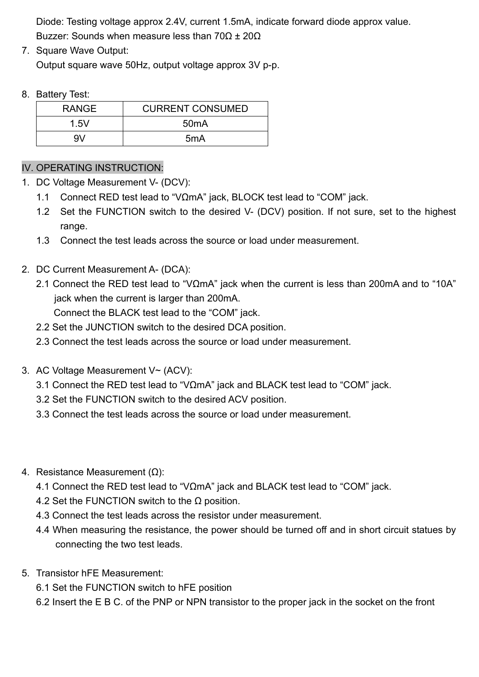Diode: Testing voltage approx 2.4V, current 1.5mA, indicate forward diode approx value. Buzzer: Sounds when measure less than  $70Ω ± 20Ω$ 

7. Square Wave Output:

Output square wave 50Hz, output voltage approx 3V p-p.

#### 8. Battery Test:

| <b>RANGE</b> | <b>CURRENT CONSUMED</b> |
|--------------|-------------------------|
| 1.5V         | 50 <sub>m</sub> A       |
| 9V           | 5 <sub>m</sub> A        |

## IV. OPERATING INSTRUCTION:

- 1. DC Voltage Measurement V- (DCV):
	- 1.1 Connect RED test lead to "VΩmA" jack, BLOCK test lead to "COM" jack.
	- 1.2 Set the FUNCTION switch to the desired V- (DCV) position. If not sure, set to the highest range.
	- 1.3 Connect the test leads across the source or load under measurement.
- 2. DC Current Measurement A- (DCA):
	- 2.1 Connect the RED test lead to "VΩmA" jack when the current is less than 200mA and to "10A" jack when the current is larger than 200mA. Connect the BLACK test lead to the "COM" jack.
	- 2.2 Set the JUNCTION switch to the desired DCA position.
	- 2.3 Connect the test leads across the source or load under measurement.
- 3. AC Voltage Measurement V~ (ACV):
	- 3.1 Connect the RED test lead to "VΩmA" jack and BLACK test lead to "COM" jack.
	- 3.2 Set the FUNCTION switch to the desired ACV position.
	- 3.3 Connect the test leads across the source or load under measurement.
- 4. Resistance Measurement (Ω):
	- 4.1 Connect the RED test lead to "VΩmA" jack and BLACK test lead to "COM" jack.
	- 4.2 Set the FUNCTION switch to the  $\Omega$  position.
	- 4.3 Connect the test leads across the resistor under measurement.
	- 4.4 When measuring the resistance, the power should be turned off and in short circuit statues by connecting the two test leads.
- 5. Transistor hFE Measurement:
	- 6.1 Set the FUNCTION switch to hFE position
	- 6.2 Insert the E B C. of the PNP or NPN transistor to the proper jack in the socket on the front